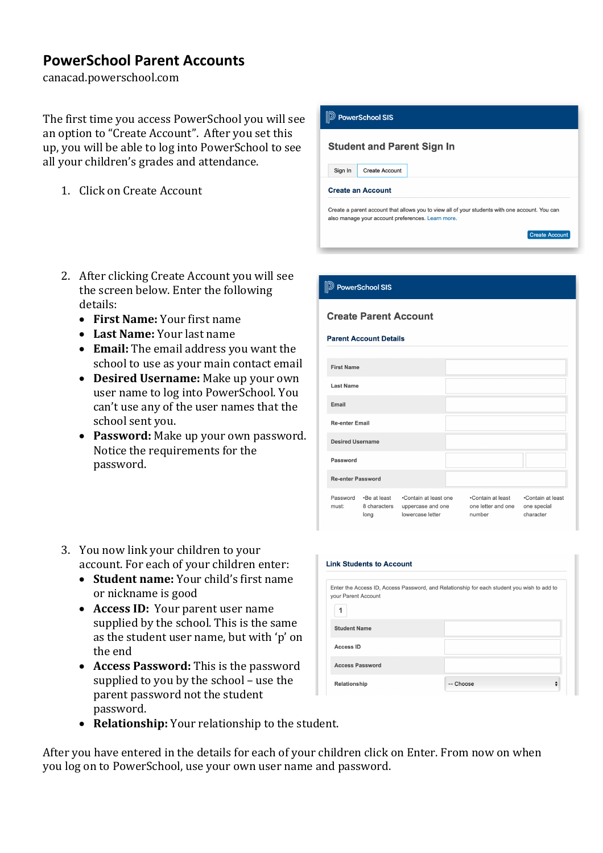## **PowerSchool Parent Accounts**

canacad.powerschool.com

The first time you access PowerSchool you will see an option to "Create Account". After you set this up, you will be able to log into PowerSchool to see all your children's grades and attendance.

1. Click on Create Account



- 2. After clicking Create Account you will see the screen below. Enter the following details:
	- **First Name:** Your first name
	- Last Name: Your last name
	- Email: The email address you want the school to use as your main contact email
	- Desired Username: Make up your own user name to log into PowerSchool. You can't use any of the user names that the school sent vou.
	- Password: Make up your own password. Notice the requirements for the password.

| 3. You now link your children to your     |  |
|-------------------------------------------|--|
| account. For each of your children enter: |  |

- **Student name:** Your child's first name or nickname is good
- Access ID: Your parent user name supplied by the school. This is the same as the student user name, but with 'p' on the end
- Access Password: This is the password supplied to you by the school - use the parent password not the student password.
- Relationship: Your relationship to the student.

After you have entered in the details for each of your children click on Enter. From now on when you log on to PowerSchool, use your own user name and password.

# **Create Parent Account Parent Account Details First Name** Last Name Email Re-enter Email **Desired Username**

**D** PowerSchool SIS

Password

| <b>Re-enter Password</b> |                                      |                                                                |                                                   |
|--------------------------|--------------------------------------|----------------------------------------------------------------|---------------------------------------------------|
| Password<br>must:        | •Be at least<br>8 characters<br>lona | •Contain at least one<br>uppercase and one<br>lowercase letter | •Contain at least<br>one letter and one<br>number |

| <b>Link Students to Account</b> |                                                                                            |  |  |  |  |
|---------------------------------|--------------------------------------------------------------------------------------------|--|--|--|--|
| your Parent Account             | Enter the Access ID, Access Password, and Relationship for each student you wish to add to |  |  |  |  |
| 1                               |                                                                                            |  |  |  |  |
| <b>Student Name</b>             |                                                                                            |  |  |  |  |
| <b>Access ID</b>                |                                                                                            |  |  |  |  |
| <b>Access Password</b>          |                                                                                            |  |  |  |  |
| Relationship                    | -- Choose                                                                                  |  |  |  |  |

∙Contain at least one special

character